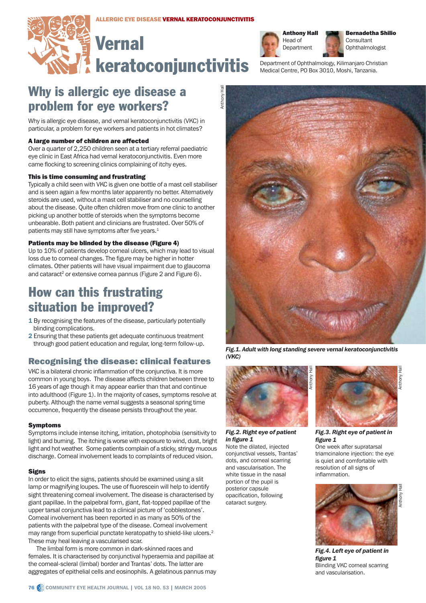# **Vernal** keratoconjunctivitis



Bernadetha Shilio **Consultant** Ophthalmologist

Department of Ophthalmology, Kilimanjaro Christian Medical Centre, PO Box 3010, Moshi, Tanzania.

# Why is allergic eye disease a problem for eye workers?

Why is allergic eye disease, and vernal keratoconiunctivitis (VKC) in particular, a problem for eye workers and patients in hot climates?

# A large number of children are affected

Over a quarter of 2,250 children seen at a tertiary referral paediatric eye clinic in East Africa had vernal keratoconjunctivitis. Even more came flocking to screening clinics complaining of itchy eyes.

# This is time consuming and frustrating

Typically a child seen with VKC is given one bottle of a mast cell stabiliser and is seen again a few months later apparently no better. Alternatively steroids are used, without a mast cell stabiliser and no counselling about the disease. Quite often children move from one clinic to another picking up another bottle of steroids when the symptoms become unbearable. Both patient and clinicians are frustrated. Over 50% of patients may still have symptoms after five years.<sup>1</sup>

# Patients may be blinded by the disease (Figure 4)

Up to 10% of patients develop corneal ulcers, which may lead to visual loss due to corneal changes. The figure may be higher in hotter climates. Other patients will have visual impairment due to glaucoma and cataract<sup>2</sup> or extensive cornea pannus (Figure 2 and Figure 6).

# How can this frustrating situation be improved?

- 1 By recognising the features of the disease, particularly potentially blinding complications.
- 2 Ensuring that these patients get adequate continuous treatment through good patient education and regular, long-term follow-up.

# Recognising the disease: clinical features

VKC is a bilateral chronic inflammation of the conjunctiva. It is more common in young boys. The disease affects children between three to 16 years of age though it may appear earlier than that and continue into adulthood (Figure 1). In the majority of cases, symptoms resolve at puberty. Although the name vernal suggests a seasonal spring time occurrence, frequently the disease persists throughout the year.

# Symptoms

Symptoms include intense itching, irritation, photophobia (sensitivity to light) and burning. The itching is worse with exposure to wind, dust, bright light and hot weather. Some patients complain of a sticky, stringy mucous discharge. Corneal involvement leads to complaints of reduced vision.

# **Signs**

In order to elicit the signs, patients should be examined using a slit lamp or magnifying loupes. The use of fluorescein will help to identify sight threatening corneal involvement. The disease is characterised by giant papillae. In the palpebral form, giant, flat-topped papillae of the upper tarsal conjunctiva lead to a clinical picture of 'cobblestones'. Corneal involvement has been reported in as many as 50% of the patients with the palpebral type of the disease. Corneal involvement may range from superficial punctate keratopathy to shield-like ulcers.<sup>2</sup> These may heal leaving a vascularised scar.

The limbal form is more common in dark-skinned races and females. It is characterised by conjunctival hyperaemia and papillae at the corneal-scleral (limbal) border and Trantas' dots. The latter are aggregates of epithelial cells and eosinophils. A gelatinous pannus may



*Fig.1. Adult with long standing severe vernal keratoconjunctivitis (VKC)*



# *Fig.2. Right eye of patient in figure 1*

Note the dilated, injected conjunctival vessels, Trantas' dots, and corneal scarring and vascularisation. The white tissue in the nasal portion of the pupil is posterior capsule opacification, following cataract surgery.



*Fig.3. Right eye of patient in figure 1* 

One week after supratarsal triamcinalone injection: the eye is quiet and comfortable with resolution of all signs of inflammation.



*Fig.4. Left eye of patient in figure 1* Blinding VKC corneal scarring and vascularisation.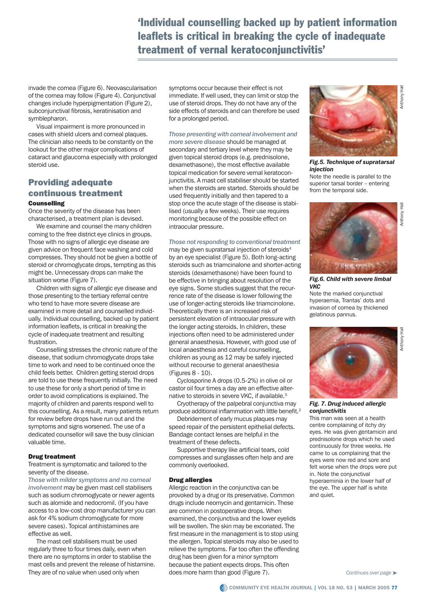# 'Individual counselling backed up by patient information leaflets is critical in breaking the cycle of inadequate treatment of vernal keratoconjunctivitis'

invade the cornea (Figure 6). Neovascularisation of the cornea may follow (Figure 4). Conjunctival changes include hyperpigmentation (Figure 2), subconjunctival fibrosis, keratinisation and symblepharon.

Visual impairment is more pronounced in cases with shield ulcers and corneal plaques. The clinician also needs to be constantly on the lookout for the other major complications of cataract and glaucoma especially with prolonged steroid use.

# Providing adequate continuous treatment **Counselling**

Once the severity of the disease has been characterised, a treatment plan is devised.

We examine and counsel the many children coming to the free district eye clinics in groups. Those with no signs of allergic eye disease are given advice on frequent face washing and cold compresses. They should not be given a bottle of steroid or chromoglycate drops, tempting as this might be. Unnecessary drops can make the situation worse (Figure 7).

Children with signs of allergic eye disease and those presenting to the tertiary referral centre who tend to have more severe disease are examined in more detail and counselled individually. Individual counselling, backed up by patient information leaflets, is critical in breaking the cycle of inadequate treatment and resulting frustration.

Counselling stresses the chronic nature of the disease, that sodium chromoglycate drops take time to work and need to be continued once the child feels better. Children getting steroid drops are told to use these frequently initially. The need to use these for only a short period of time in order to avoid complications is explained. The majority of children and parents respond well to this counselling. As a result, many patients return for review before drops have run out and the symptoms and signs worsened. The use of a dedicated counsellor will save the busy clinician valuable time.

# Drug treatment

Treatment is symptomatic and tailored to the severity of the disease.

*Those with milder symptoms and no corneal involvement* may be given mast cell stabilisers such as sodium chromoglycate or newer agents such as alomide and nedocromil. (If you have access to a low-cost drop manufacturer you can ask for 4% sodium chromoglycate for more severe cases). Topical antihistamines are effective as well.

The mast cell stabilisers must be used regularly three to four times daily, even when there are no symptoms in order to stabilise the mast cells and prevent the release of histamine. They are of no value when used only when

symptoms occur because their effect is not immediate. If well used, they can limit or stop the use of steroid drops. They do not have any of the side effects of steroids and can therefore be used for a prolonged period.

*Those presenting with corneal involvement and* 

*more severe disease* should be managed at secondary and tertiary level where they may be given topical steroid drops (e.g. prednisolone, dexamethasone), the most effective available topical medication for severe vernal keratoconjunctivitis. A mast cell stabiliser should be started when the steroids are started. Steroids should be used frequently initially and then tapered to a stop once the acute stage of the disease is stabilised (usually a few weeks). Their use requires monitoring because of the possible effect on intraocular pressure.

*Those not responding to conventional treatment* may be given supratarsal injection of steroids<sup>4</sup> by an eye specialist (Figure 5). Both long-acting steroids such as triamcinalone and shorter-acting steroids (dexamethasone) have been found to be effective in bringing about resolution of the eye signs. Some studies suggest that the recurrence rate of the disease is lower following the use of longer-acting steroids like triamcinolone. Theoretically there is an increased risk of persistent elevation of intraocular pressure with the longer acting steroids. In children, these injections often need to be administered under general anaesthesia. However, with good use of local anaesthesia and careful counselling, children as young as 12 may be safely injected without recourse to general anaesthesia (Figures 8 - 10).

Cyclosporine A drops (0.5-2%) in olive oil or castor oil four times a day are an effective alternative to steroids in severe VKC, if available.<sup>5</sup>

Cryotherapy of the palpebral conjunctiva may produce additional inflammation with little benefit.<sup>2</sup>

Debridement of early mucus plaques may speed repair of the persistent epithelial defects. Bandage contact lenses are helpful in the treatment of these defects.

Supportive therapy like artificial tears, cold compresses and sunglasses often help and are commonly overlooked.

# Drug allergies

Allergic reaction in the conjunctiva can be provoked by a drug or its preservative. Common drugs include neomycin and gentamicin. These are common in postoperative drops. When examined, the conjunctiva and the lower eyelids will be swollen. The skin may be excoriated. The first measure in the management is to stop using the allergen. Topical steroids may also be used to relieve the symptoms. Far too often the offending drug has been given for a minor symptom because the patient expects drops. This often does more harm than good (Figure 7).



*Fig.5. Technique of supratarsal injection*

Note the needle is parallel to the superior tarsal border – entering from the temporal side.



Anthony Hall

**Anthony Hall** 

*Fig.6. Child with severe limbal VKC* 

Note the marked conjunctival hyperaemia, Trantas' dots and invasion of cornea by thickened gelatinous pannus.



*Fig. 7. Drug induced allergic conjunctivitis*

This man was seen at a health centre complaining of itchy dry eyes. He was given gentamicin and prednisolone drops which he used continuously for three weeks. He came to us complaining that the eyes were now red and sore and felt worse when the drops were put in. Note the conjunctival hyperaeminia in the lower half of the eye. The upper half is white and quiet.